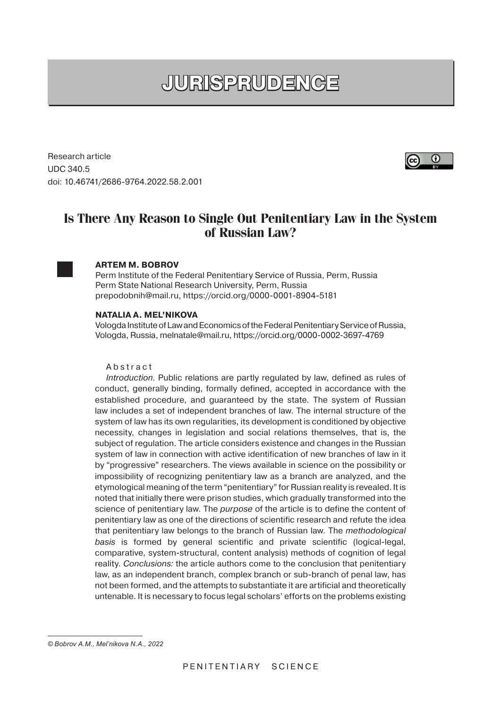# **JURISPRUDENCE**

Research article UDC 340.5 doi: 10.46741/2686-9764.2022.58.2.001

## **Is There Any Reason to Single Out Penitentiary Law in the System of Russian Law?**



### **ARTEM M. BOBROV**

Perm Institute of the Federal Penitentiary Service of Russia, Perm, Russia Perm State National Research University, Perm, Russia prepodobnih@mail.ru, https://orcid.org/0000-0001-8904-5181

#### **NATALIA A. MEL'NIKOVA**

Vologda Institute of Law and Economics of the Federal Penitentiary Service of Russia, Vologda, Russia, melnatale@mail.ru, https://orcid.org/0000-0002-3697-4769

#### Abstract

Introduction. Public relations are partly regulated by law, defined as rules of conduct, generally binding, formally defined, accepted in accordance with the established procedure, and guaranteed by the state. The system of Russian law includes a set of independent branches of law. The internal structure of the system of law has its own regularities, its development is conditioned by objective necessity, changes in legislation and social relations themselves, that is, the subject of regulation. The article considers existence and changes in the Russian system of law in connection with active identification of new branches of law in it by "progressive" researchers. The views available in science on the possibility or impossibility of recognizing penitentiary law as a branch are analyzed, and the etymological meaning of the term "penitentiary" for Russian reality is revealed. It is noted that initially there were prison studies, which gradually transformed into the science of penitentiary law. The *purpose* of the article is to define the content of penitentiary law as one of the directions of scientific research and refute the idea that penitentiary law belongs to the branch of Russian law. The methodological basis is formed by general scientific and private scientific (logical-legal, comparative, system-structural, content analysis) methods of cognition of legal reality. Conclusions: the article authors come to the conclusion that penitentiary law, as an independent branch, complex branch or sub-branch of penal law, has not been formed, and the attempts to substantiate it are artificial and theoretically untenable. It is necessary to focus legal scholars' efforts on the problems existing



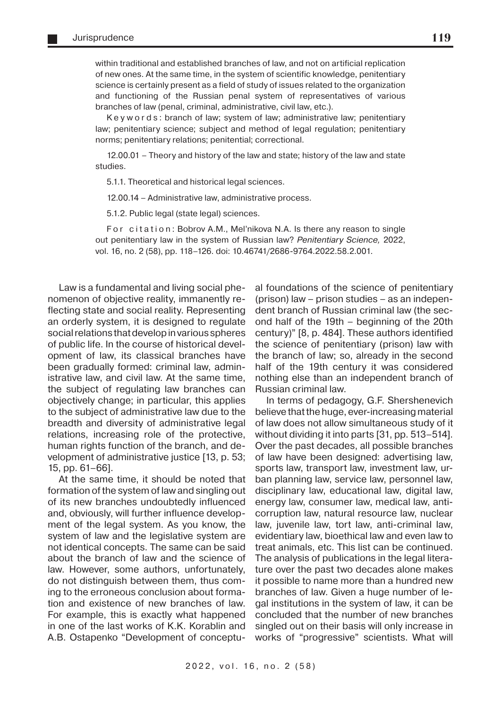within traditional and established branches of law, and not on artificial replication of new ones. At the same time, in the system of scientific knowledge, penitentiary science is certainly present as a field of study of issues related to the organization and functioning of the Russian penal system of representatives of various branches of law (penal, criminal, administrative, civil law, etc.).

Key w o r d s : branch of law; system of law; administrative law; penitentiary law; penitentiary science; subject and method of legal regulation; penitentiary norms; penitentiary relations; penitential; correctional.

12.00.01 – Theory and history of the law and state; history of the law and state studies.

5.1.1. Theoretical and historical legal sciences.

12.00.14 – Administrative law, administrative process.

5.1.2. Public legal (state legal) sciences.

For citation: Bobrov A.M., Mel'nikova N.A. Is there any reason to single out penitentiary law in the system of Russian law? Penitentiary Science, 2022, vol. 16, no. 2 (58), pp. 118–126. doi: 10.46741/2686-9764.2022.58.2.001.

Law is a fundamental and living social phenomenon of objective reality, immanently reflecting state and social reality. Representing an orderly system, it is designed to regulate social relations that develop in various spheres of public life. In the course of historical development of law, its classical branches have been gradually formed: criminal law, administrative law, and civil law. At the same time, the subject of regulating law branches can objectively change; in particular, this applies to the subject of administrative law due to the breadth and diversity of administrative legal relations, increasing role of the protective, human rights function of the branch, and development of administrative justice [13, p. 53; 15, pp. 61–66].

At the same time, it should be noted that formation of the system of law and singling out of its new branches undoubtedly influenced and, obviously, will further influence development of the legal system. As you know, the system of law and the legislative system are not identical concepts. The same can be said about the branch of law and the science of law. However, some authors, unfortunately, do not distinguish between them, thus coming to the erroneous conclusion about formation and existence of new branches of law. For example, this is exactly what happened in one of the last works of K.K. Korablin and A.B. Ostapenko "Development of conceptu-

al foundations of the science of penitentiary (prison) law – prison studies – as an independent branch of Russian criminal law (the second half of the 19th – beginning of the 20th century)" [8, p. 484]. These authors identified the science of penitentiary (prison) law with the branch of law; so, already in the second half of the 19th century it was considered nothing else than an independent branch of Russian criminal law.

In terms of pedagogy, G.F. Shershenevich believe that the huge, ever-increasing material of law does not allow simultaneous study of it without dividing it into parts [31, pp. 513–514]. Over the past decades, all possible branches of law have been designed: advertising law, sports law, transport law, investment law, urban planning law, service law, personnel law, disciplinary law, educational law, digital law, energy law, consumer law, medical law, anticorruption law, natural resource law, nuclear law, juvenile law, tort law, anti-criminal law, evidentiary law, bioethical law and even law to treat animals, etc. This list can be continued. The analysis of publications in the legal literature over the past two decades alone makes it possible to name more than a hundred new branches of law. Given a huge number of legal institutions in the system of law, it can be concluded that the number of new branches singled out on their basis will only increase in works of "progressive" scientists. What will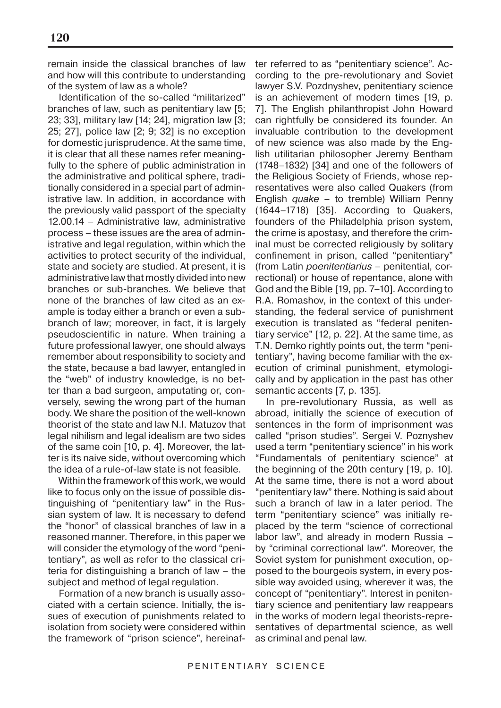remain inside the classical branches of law and how will this contribute to understanding of the system of law as a whole?

Identification of the so-called "militarized" branches of law, such as penitentiary law [5; 23; 33], military law [14; 24], migration law [3; 25; 27], police law [2; 9; 32] is no exception for domestic jurisprudence. At the same time, it is clear that all these names refer meaningfully to the sphere of public administration in the administrative and political sphere, traditionally considered in a special part of administrative law. In addition, in accordance with the previously valid passport of the specialty 12.00.14 – Administrative law, administrative process – these issues are the area of administrative and legal regulation, within which the activities to protect security of the individual, state and society are studied. At present, it is administrative law that mostly divided into new branches or sub-branches. We believe that none of the branches of law cited as an example is today either a branch or even a subbranch of law; moreover, in fact, it is largely pseudoscientific in nature. When training a future professional lawyer, one should always remember about responsibility to society and the state, because a bad lawyer, entangled in the "web" of industry knowledge, is no better than a bad surgeon, amputating or, conversely, sewing the wrong part of the human body. We share the position of the well-known theorist of the state and law N.I. Matuzov that legal nihilism and legal idealism are two sides of the same coin [10, p. 4]. Moreover, the latter is its naive side, without overcoming which the idea of a rule-of-law state is not feasible.

Within the framework of this work, we would like to focus only on the issue of possible distinguishing of "penitentiary law" in the Russian system of law. It is necessary to defend the "honor" of classical branches of law in a reasoned manner. Therefore, in this paper we will consider the etymology of the word "penitentiary", as well as refer to the classical criteria for distinguishing a branch of law – the subject and method of legal regulation.

Formation of a new branch is usually associated with a certain science. Initially, the issues of execution of punishments related to isolation from society were considered within the framework of "prison science", hereinaf-

ter referred to as "penitentiary science". According to the pre-revolutionary and Soviet lawyer S.V. Pozdnyshev, penitentiary science is an achievement of modern times [19, p. 7]. The English philanthropist John Howard can rightfully be considered its founder. An invaluable contribution to the development of new science was also made by the English utilitarian philosopher Jeremy Bentham (1748–1832) [34] and one of the followers of the Religious Society of Friends, whose representatives were also called Quakers (from English quake – to tremble) William Penny (1644–1718) [35]. According to Quakers, founders of the Philadelphia prison system, the crime is apostasy, and therefore the criminal must be corrected religiously by solitary confinement in prison, called "penitentiary" (from Latin poenitentiarius – penitential, correctional) or house of repentance, alone with God and the Bible [19, pp. 7–10]. According to R.A. Romashov, in the context of this understanding, the federal service of punishment execution is translated as "federal penitentiary service" [12, p. 22]. At the same time, as T.N. Demko rightly points out, the term "penitentiary", having become familiar with the execution of criminal punishment, etymologically and by application in the past has other semantic accents [7, p. 135].

In pre-revolutionary Russia, as well as abroad, initially the science of execution of sentences in the form of imprisonment was called "prison studies". Sergei V. Poznyshev used a term "penitentiary science" in his work "Fundamentals of penitentiary science" at the beginning of the 20th century [19, p. 10]. At the same time, there is not a word about "penitentiary law" there. Nothing is said about such a branch of law in a later period. The term "penitentiary science" was initially replaced by the term "science of correctional labor law", and already in modern Russia – by "criminal correctional law". Moreover, the Soviet system for punishment execution, opposed to the bourgeois system, in every possible way avoided using, wherever it was, the concept of "penitentiary". Interest in penitentiary science and penitentiary law reappears in the works of modern legal theorists-representatives of departmental science, as well as criminal and penal law.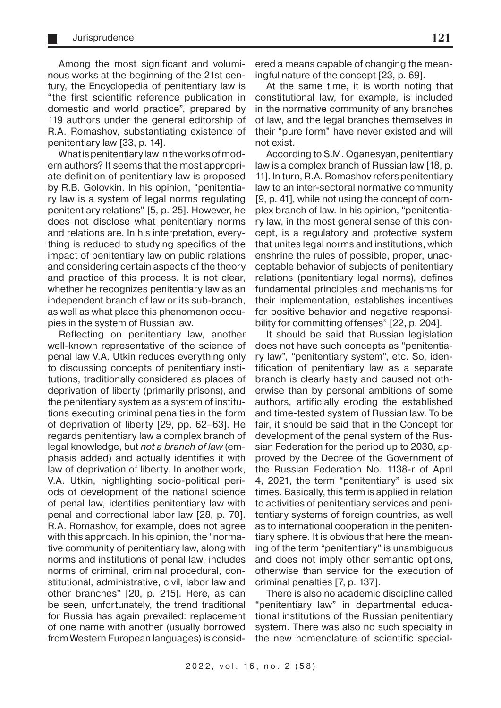Among the most significant and voluminous works at the beginning of the 21st century, the Encyclopedia of penitentiary law is "the first scientific reference publication in domestic and world practice", prepared by 119 authors under the general editorship of R.A. Romashov, substantiating existence of penitentiary law [33, p. 14].

What is penitentiary law in the works of modern authors? It seems that the most appropriate definition of penitentiary law is proposed by R.B. Golovkin. In his opinion, "penitentiary law is a system of legal norms regulating penitentiary relations" [5, p. 25]. However, he does not disclose what penitentiary norms and relations are. In his interpretation, everything is reduced to studying specifics of the impact of penitentiary law on public relations and considering certain aspects of the theory and practice of this process. It is not clear, whether he recognizes penitentiary law as an independent branch of law or its sub-branch, as well as what place this phenomenon occupies in the system of Russian law.

Reflecting on penitentiary law, another well-known representative of the science of penal law V.A. Utkin reduces everything only to discussing concepts of penitentiary institutions, traditionally considered as places of deprivation of liberty (primarily prisons), and the penitentiary system as a system of institutions executing criminal penalties in the form of deprivation of liberty [29, pp. 62–63]. He regards penitentiary law a complex branch of legal knowledge, but not a branch of law (emphasis added) and actually identifies it with law of deprivation of liberty. In another work, V.A. Utkin, highlighting socio-political periods of development of the national science of penal law, identifies penitentiary law with penal and correctional labor law [28, p. 70]. R.A. Romashov, for example, does not agree with this approach. In his opinion, the "normative community of penitentiary law, along with norms and institutions of penal law, includes norms of criminal, criminal procedural, constitutional, administrative, civil, labor law and other branches" [20, p. 215]. Here, as can be seen, unfortunately, the trend traditional for Russia has again prevailed: replacement of one name with another (usually borrowed from Western European languages) is consid-

ered a means capable of changing the meaningful nature of the concept [23, p. 69].

At the same time, it is worth noting that constitutional law, for example, is included in the normative community of any branches of law, and the legal branches themselves in their "pure form" have never existed and will not exist.

According to S.M. Oganesyan, penitentiary law is a complex branch of Russian law [18, p. 11]. In turn, R.A. Romashov refers penitentiary law to an inter-sectoral normative community [9, p. 41], while not using the concept of complex branch of law. In his opinion, "penitentiary law, in the most general sense of this concept, is a regulatory and protective system that unites legal norms and institutions, which enshrine the rules of possible, proper, unacceptable behavior of subjects of penitentiary relations (penitentiary legal norms), defines fundamental principles and mechanisms for their implementation, establishes incentives for positive behavior and negative responsibility for committing offenses" [22, p. 204].

It should be said that Russian legislation does not have such concepts as "penitentiary law", "penitentiary system", etc. So, identification of penitentiary law as a separate branch is clearly hasty and caused not otherwise than by personal ambitions of some authors, artificially eroding the established and time-tested system of Russian law. To be fair, it should be said that in the Concept for development of the penal system of the Russian Federation for the period up to 2030, approved by the Decree of the Government of the Russian Federation No. 1138-r of April 4, 2021, the term "penitentiary" is used six times. Basically, this term is applied in relation to activities of penitentiary services and penitentiary systems of foreign countries, as well as to international cooperation in the penitentiary sphere. It is obvious that here the meaning of the term "penitentiary" is unambiguous and does not imply other semantic options, otherwise than service for the execution of criminal penalties [7, p. 137].

There is also no academic discipline called "penitentiary law" in departmental educational institutions of the Russian penitentiary system. There was also no such specialty in the new nomenclature of scientific special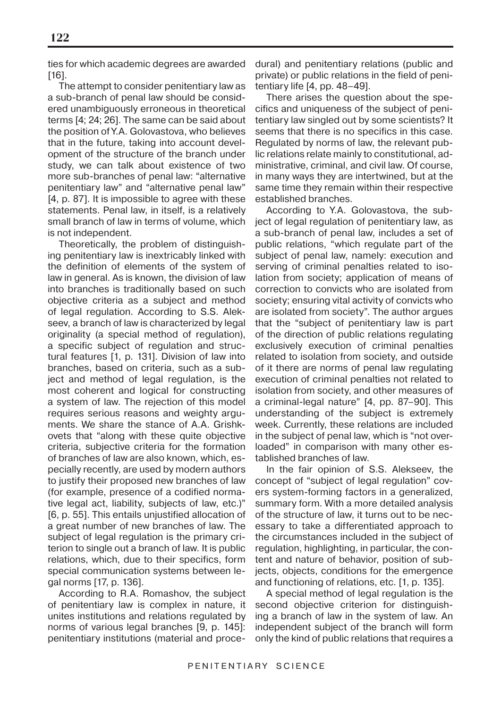ties for which academic degrees are awarded [16].

The attempt to consider penitentiary law as a sub-branch of penal law should be considered unambiguously erroneous in theoretical terms [4; 24; 26]. The same can be said about the position of Y.A. Golovastova, who believes that in the future, taking into account development of the structure of the branch under study, we can talk about existence of two more sub-branches of penal law: "alternative penitentiary law" and "alternative penal law" [4, p. 87]. It is impossible to agree with these statements. Penal law, in itself, is a relatively small branch of law in terms of volume, which is not independent.

Theoretically, the problem of distinguishing penitentiary law is inextricably linked with the definition of elements of the system of law in general. As is known, the division of law into branches is traditionally based on such objective criteria as a subject and method of legal regulation. According to S.S. Alekseev, a branch of law is characterized by legal originality (a special method of regulation), a specific subject of regulation and structural features [1, p. 131]. Division of law into branches, based on criteria, such as a subject and method of legal regulation, is the most coherent and logical for constructing a system of law. The rejection of this model requires serious reasons and weighty arguments. We share the stance of A.A. Grishkovets that "along with these quite objective criteria, subjective criteria for the formation of branches of law are also known, which, especially recently, are used by modern authors to justify their proposed new branches of law (for example, presence of a codified normative legal act, liability, subjects of law, etc.)" [6, p. 55]. This entails unjustified allocation of a great number of new branches of law. The subject of legal regulation is the primary criterion to single out a branch of law. It is public relations, which, due to their specifics, form special communication systems between legal norms [17, p. 136].

According to R.A. Romashov, the subject of penitentiary law is complex in nature, it unites institutions and relations regulated by norms of various legal branches [9, p. 145]: penitentiary institutions (material and procedural) and penitentiary relations (public and private) or public relations in the field of penitentiary life [4, pp. 48–49].

There arises the question about the specifics and uniqueness of the subject of penitentiary law singled out by some scientists? It seems that there is no specifics in this case. Regulated by norms of law, the relevant public relations relate mainly to constitutional, administrative, criminal, and civil law. Of course, in many ways they are intertwined, but at the same time they remain within their respective established branches.

According to Y.A. Golovastova, the subject of legal regulation of penitentiary law, as a sub-branch of penal law, includes a set of public relations, "which regulate part of the subject of penal law, namely: execution and serving of criminal penalties related to isolation from society; application of means of correction to convicts who are isolated from society; ensuring vital activity of convicts who are isolated from society". The author argues that the "subject of penitentiary law is part of the direction of public relations regulating exclusively execution of criminal penalties related to isolation from society, and outside of it there are norms of penal law regulating execution of criminal penalties not related to isolation from society, and other measures of a criminal-legal nature" [4, pp. 87–90]. This understanding of the subject is extremely week. Currently, these relations are included in the subject of penal law, which is "not overloaded" in comparison with many other established branches of law.

In the fair opinion of S.S. Alekseev, the concept of "subject of legal regulation" covers system-forming factors in a generalized, summary form. With a more detailed analysis of the structure of law, it turns out to be necessary to take a differentiated approach to the circumstances included in the subject of regulation, highlighting, in particular, the content and nature of behavior, position of subjects, objects, conditions for the emergence and functioning of relations, etc. [1, p. 135].

A special method of legal regulation is the second objective criterion for distinguishing a branch of law in the system of law. An independent subject of the branch will form only the kind of public relations that requires a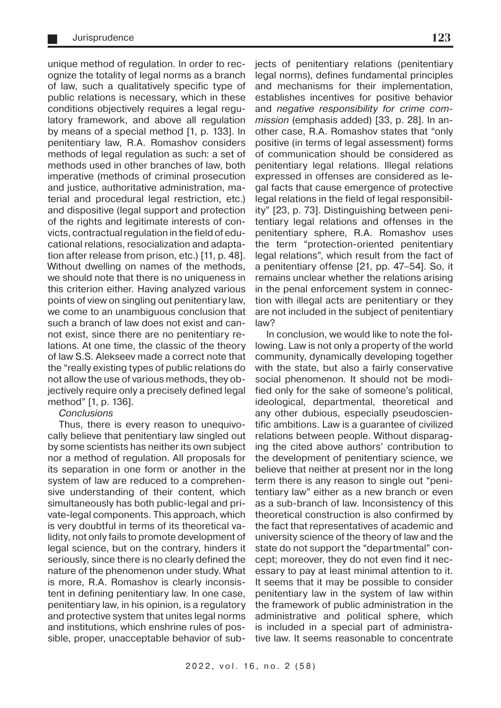unique method of regulation. In order to recognize the totality of legal norms as a branch of law, such a qualitatively specific type of public relations is necessary, which in these conditions objectively requires a legal regulatory framework, and above all regulation by means of a special method [1, p. 133]. In penitentiary law, R.A. Romashov considers methods of legal regulation as such: a set of methods used in other branches of law, both imperative (methods of criminal prosecution and justice, authoritative administration, material and procedural legal restriction, etc.) and dispositive (legal support and protection of the rights and legitimate interests of convicts, contractual regulation in the field of educational relations, resocialization and adaptation after release from prison, etc.) [11, p. 48]. Without dwelling on names of the methods, we should note that there is no uniqueness in this criterion either. Having analyzed various points of view on singling out penitentiary law, we come to an unambiguous conclusion that such a branch of law does not exist and cannot exist, since there are no penitentiary relations. At one time, the classic of the theory of law S.S. Alekseev made a correct note that the "really existing types of public relations do not allow the use of various methods, they objectively require only a precisely defined legal method" [1, p. 136].

#### **Conclusions**

Thus, there is every reason to unequivocally believe that penitentiary law singled out by some scientists has neither its own subject nor a method of regulation. All proposals for its separation in one form or another in the system of law are reduced to a comprehensive understanding of their content, which simultaneously has both public-legal and private-legal components. This approach, which is very doubtful in terms of its theoretical validity, not only fails to promote development of legal science, but on the contrary, hinders it seriously, since there is no clearly defined the nature of the phenomenon under study. What is more, R.A. Romashov is clearly inconsistent in defining penitentiary law. In one case, penitentiary law, in his opinion, is a regulatory and protective system that unites legal norms and institutions, which enshrine rules of possible, proper, unacceptable behavior of subjects of penitentiary relations (penitentiary legal norms), defines fundamental principles and mechanisms for their implementation, establishes incentives for positive behavior and negative responsibility for crime commission (emphasis added) [33, p. 28]. In another case, R.A. Romashov states that "only positive (in terms of legal assessment) forms of communication should be considered as penitentiary legal relations. Illegal relations expressed in offenses are considered as legal facts that cause emergence of protective legal relations in the field of legal responsibility" [23, p. 73]. Distinguishing between penitentiary legal relations and offenses in the penitentiary sphere, R.A. Romashov uses the term "protection-oriented penitentiary legal relations", which result from the fact of a penitentiary offense [21, pp. 47–54]. So, it remains unclear whether the relations arising in the penal enforcement system in connection with illegal acts are penitentiary or they are not included in the subject of penitentiary law?

In conclusion, we would like to note the following. Law is not only a property of the world community, dynamically developing together with the state, but also a fairly conservative social phenomenon. It should not be modified only for the sake of someone's political, ideological, departmental, theoretical and any other dubious, especially pseudoscientific ambitions. Law is a guarantee of civilized relations between people. Without disparaging the cited above authors' contribution to the development of penitentiary science, we believe that neither at present nor in the long term there is any reason to single out "penitentiary law" either as a new branch or even as a sub-branch of law. Inconsistency of this theoretical construction is also confirmed by the fact that representatives of academic and university science of the theory of law and the state do not support the "departmental" concept; moreover, they do not even find it necessary to pay at least minimal attention to it. It seems that it may be possible to consider penitentiary law in the system of law within the framework of public administration in the administrative and political sphere, which is included in a special part of administrative law. It seems reasonable to concentrate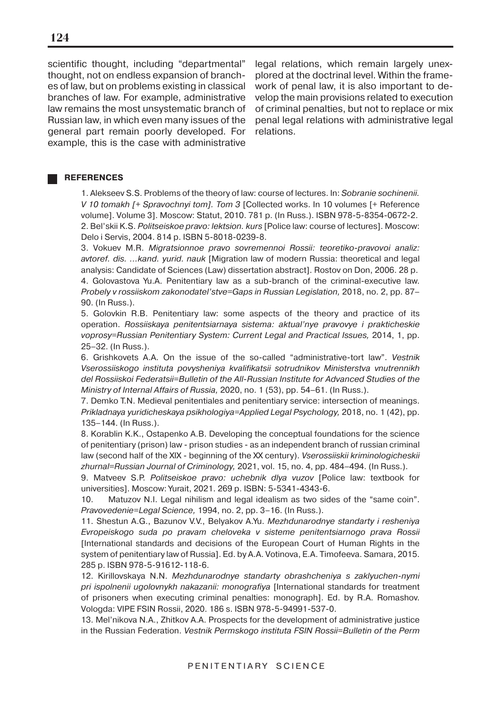scientific thought, including "departmental" thought, not on endless expansion of branches of law, but on problems existing in classical branches of law. For example, administrative law remains the most unsystematic branch of Russian law, in which even many issues of the general part remain poorly developed. For example, this is the case with administrative

legal relations, which remain largely unexplored at the doctrinal level. Within the framework of penal law, it is also important to develop the main provisions related to execution of criminal penalties, but not to replace or mix penal legal relations with administrative legal relations.

#### **REFERENCES**

1. Alekseev S.S. Problems of the theory of law: course of lectures. In: Sobranie sochinenii. V 10 tomakh [+ Spravochnyi tom]. Tom 3 [Collected works. In 10 volumes [+ Reference volume]. Volume 3]. Moscow: Statut, 2010. 781 p. (In Russ.). ISBN 978-5-8354-0672-2. 2. Bel'skii K.S. Politseiskoe pravo: lektsion. kurs [Police law: course of lectures]. Moscow: Delo i Servis, 2004. 814 p. ISBN 5-8018-0239-8.

3. Vokuev M.R. Migratsionnoe pravo sovremennoi Rossii: teoretiko-pravovoi analiz: avtoref. dis. ...kand. yurid. nauk [Migration law of modern Russia: theoretical and legal analysis: Candidate of Sciences (Law) dissertation abstract]. Rostov on Don, 2006. 28 p. 4. Golovastova Yu.A. Penitentiary law as a sub-branch of the criminal-executive law. Probely v rossiiskom zakonodatel'stve=Gaps in Russian Legislation, 2018, no. 2, pp. 87– 90. (In Russ.).

5. Golovkin R.B. Penitentiary law: some aspects of the theory and practice of its operation. Rossiiskaya penitentsiarnaya sistema: aktual'nye pravovye i prakticheskie voprosy=Russian Penitentiary System: Current Legal and Practical Issues, 2014, 1, pp. 25–32. (In Russ.).

6. Grishkovets A.A. On the issue of the so-called "administrative-tort law". Vestnik Vserossiiskogo instituta povysheniya kvalifikatsii sotrudnikov Ministerstva vnutrennikh del Rossiiskoi Federatsii=Bulletin of the All-Russian Institute for Advanced Studies of the Ministry of Internal Affairs of Russia, 2020, no. 1 (53), pp. 54–61. (In Russ.).

7. Demko T.N. Medieval penitentiales and penitentiary service: intersection of meanings. Prikladnaya yuridicheskaya psikhologiya=Applied Legal Psychology, 2018, no. 1 (42), pp. 135–144. (In Russ.).

8. Korablin K.K., Ostapenko A.B. Developing the conceptual foundations for the science of penitentiary (prison) law - prison studies - as an independent branch of russian criminal law (second half of the XIX - beginning of the XX century). Vserossiiskii kriminologicheskii zhurnal=Russian Journal of Criminology, 2021, vol. 15, no. 4, pp. 484–494. (In Russ.).

9. Matveev S.P. Politseiskoe pravo: uchebnik dlya vuzov [Police law: textbook for universities]. Moscow: Yurait, 2021. 269 p. ISBN: 5-5341-4343-6.

10. Matuzov N.I. Legal nihilism and legal idealism as two sides of the "same coin". Pravovedenie=Legal Science, 1994, no. 2, pp. 3–16. (In Russ.).

11. Shestun A.G., Bazunov V.V., Belyakov A.Yu. Mezhdunarodnye standarty i resheniya Evropeiskogo suda po pravam cheloveka v sisteme penitentsiarnogo prava Rossii [International standards and decisions of the European Court of Human Rights in the system of penitentiary law of Russia]. Ed. by A.A. Votinova, E.A. Timofeeva. Samara, 2015. 285 p. ISBN 978-5-91612-118-6.

12. Kirillovskaya N.N. Mezhdunarodnye standarty obrashcheniya s zaklyuchen-nymi pri ispolnenii ugolovnykh nakazanii: monografiya [International standards for treatment of prisoners when executing criminal penalties: monograph]. Ed. by R.A. Romashov. Vologda: VIPE FSIN Rossii, 2020. 186 s. ISBN 978-5-94991-537-0.

13. Mel'nikova N.A., Zhitkov A.A. Prospects for the development of administrative justice in the Russian Federation. Vestnik Permskogo instituta FSIN Rossii=Bulletin of the Perm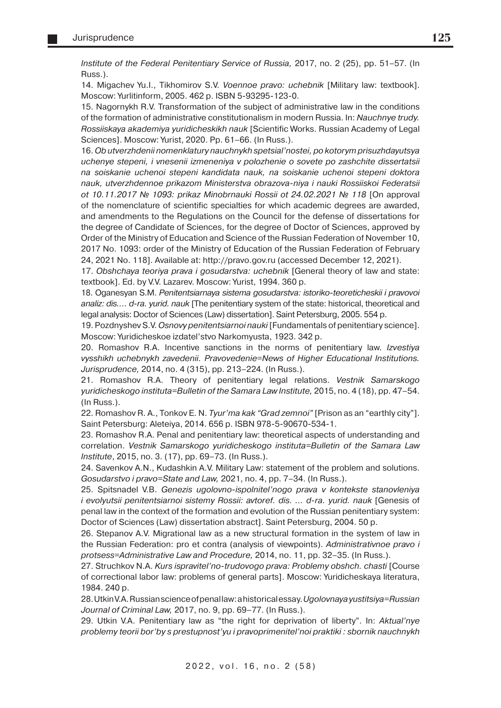Institute of the Federal Penitentiary Service of Russia, 2017, no. 2 (25), pp. 51–57. (In Russ.).

14. Migachev Yu.l., Tikhomirov S.V. Voennoe pravo: uchebnik [Military law: textbook]. Moscow: Yurlitinform, 2005. 462 p. ISBN 5-93295-123-0.

15. Nagornykh R.V. Transformation of the subject of administrative law in the conditions of the formation of administrative constitutionalism in modern Russia. In: Nauchnye trudy. Rossiiskaya akademiya yuridicheskikh nauk [Scientific Works. Russian Academy of Legal Sciences]. Moscow: Yurist, 2020. Pp. 61–66. (In Russ.).

16. Ob utverzhdenii nomenklatury nauchnykh spetsial'nostei, po kotorym prisuzhdayutsya uchenye stepeni, i vnesenii izmeneniya v polozhenie o sovete po zashchite dissertatsii na soiskanie uchenoi stepeni kandidata nauk, na soiskanie uchenoi stepeni doktora nauk, utverzhdennoe prikazom Ministerstva obrazova-niya i nauki Rossiiskoi Federatsii ot 10.11.2017 № 1093: prikaz Minobrnauki Rossii ot 24.02.2021 № 118 [On approval of the nomenclature of scientific specialties for which academic degrees are awarded, and amendments to the Regulations on the Council for the defense of dissertations for the degree of Candidate of Sciences, for the degree of Doctor of Sciences, approved by Order of the Ministry of Education and Science of the Russian Federation of November 10, 2017 No. 1093: order of the Ministry of Education of the Russian Federation of February 24, 2021 No. 118]. Available at: http://pravo.gov.ru (accessed December 12, 2021).

17. Obshchaya teoriya prava i gosudarstva: uchebnik [General theory of law and state: textbook]. Ed. by V.V. Lazarev. Moscow: Yurist, 1994. 360 p.

18. Oganesyan S.M. Penitentsiarnaya sistema gosudarstva: istoriko-teoreticheskii i pravovoi analiz: dis.... d-ra. yurid. nauk [The penitentiary system of the state: historical, theoretical and legal analysis: Doctor of Sciences (Law) dissertation]. Saint Petersburg, 2005. 554 p.

19. Pozdnyshev S.V. Osnovy penitentsiarnoi nauki [Fundamentals of penitentiary science]. Moscow: Yuridicheskoe izdatel'stvo Narkomyusta, 1923. 342 p.

20. Romashov R.A. Incentive sanctions in the norms of penitentiary law. Izvestiya vysshikh uchebnykh zavedenii. Pravovedenie=News of Higher Educational Institutions. Jurisprudence, 2014, no. 4 (315), pp. 213–224. (In Russ.).

21. Romashov R.A. Theory of penitentiary legal relations. Vestnik Samarskogo yuridicheskogo instituta=Bulletin of the Samara Law Institute, 2015, no. 4 (18), pp. 47–54. (In Russ.).

22. Romashov R. A., Tonkov E. N. Tyur'ma kak "Grad zemnoi" [Prison as an "earthly city"]. Saint Petersburg: Aleteiya, 2014. 656 p. ISBN 978-5-90670-534-1.

23. Romashov R.A. Penal and penitentiary law: theoretical aspects of understanding and correlation. Vestnik Samarskogo yuridicheskogo instituta=Bulletin of the Samara Law Institute, 2015, no. 3. (17), pp. 69–73. (In Russ.).

24. Savenkov A.N., Kudashkin A.V. Military Law: statement of the problem and solutions. Gosudarstvo i pravo=State and Law, 2021, no. 4, pp. 7–34. (In Russ.).

25. Spitsnadel V.B. Genezis ugolovno-ispolnitel'nogo prava v kontekste stanovleniya i evolyutsii penitentsiarnoi sistemy Rossii: avtoref. dis. … d-ra. yurid. nauk [Genesis of penal law in the context of the formation and evolution of the Russian penitentiary system: Doctor of Sciences (Law) dissertation abstract]. Saint Petersburg, 2004. 50 p.

26. Stepanov A.V. Migrational law as a new structural formation in the system of law in the Russian Federation: pro et contra (analysis of viewpoints). Administrativnoe pravo i protsess=Administrative Law and Procedure, 2014, no. 11, pp. 32–35. (In Russ.).

27. Struchkov N.A. Kurs ispravitel'no-trudovogo prava: Problemy obshch. chasti [Course of correctional labor law: problems of general parts]. Moscow: Yuridicheskaya literatura, 1984. 240 p.

28. Utkin V.A. Russian science of penal law: a historical essay. Ugolovnaya yustitsiya=Russian Journal of Criminal Law, 2017, no. 9, pp. 69–77. (In Russ.).

29. Utkin V.A. Penitentiary law as "the right for deprivation of liberty". In: Aktual'nye problemy teorii bor'by s prestupnost'yu i pravoprimenitel'noi praktiki : sbornik nauchnykh